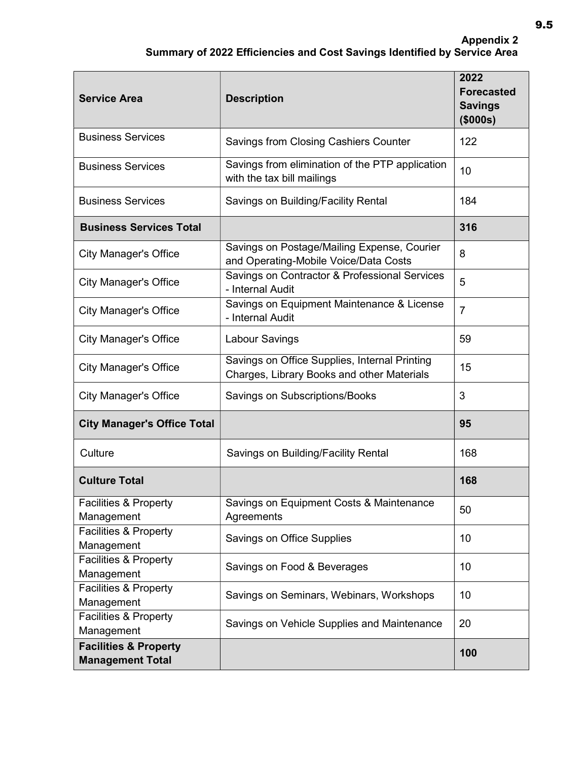## Appendix 2 Summary of 2022 Efficiencies and Cost Savings Identified by Service Area

| <b>Service Area</b>                                         | <b>Description</b>                                                                          | 2022<br><b>Forecasted</b><br><b>Savings</b><br>(\$000s) |
|-------------------------------------------------------------|---------------------------------------------------------------------------------------------|---------------------------------------------------------|
| <b>Business Services</b>                                    | Savings from Closing Cashiers Counter                                                       | 122                                                     |
| <b>Business Services</b>                                    | Savings from elimination of the PTP application<br>with the tax bill mailings               | 10                                                      |
| <b>Business Services</b>                                    | Savings on Building/Facility Rental                                                         | 184                                                     |
| <b>Business Services Total</b>                              |                                                                                             | 316                                                     |
| <b>City Manager's Office</b>                                | Savings on Postage/Mailing Expense, Courier<br>and Operating-Mobile Voice/Data Costs        | 8                                                       |
| <b>City Manager's Office</b>                                | Savings on Contractor & Professional Services<br>- Internal Audit                           | 5                                                       |
| <b>City Manager's Office</b>                                | Savings on Equipment Maintenance & License<br>- Internal Audit                              | $\overline{7}$                                          |
| <b>City Manager's Office</b>                                | Labour Savings                                                                              | 59                                                      |
| <b>City Manager's Office</b>                                | Savings on Office Supplies, Internal Printing<br>Charges, Library Books and other Materials | 15                                                      |
| <b>City Manager's Office</b>                                | Savings on Subscriptions/Books                                                              | 3                                                       |
| <b>City Manager's Office Total</b>                          |                                                                                             | 95                                                      |
| Culture                                                     | Savings on Building/Facility Rental                                                         | 168                                                     |
| <b>Culture Total</b>                                        |                                                                                             | 168                                                     |
| Facilities & Property<br>Management                         | Savings on Equipment Costs & Maintenance<br>Agreements                                      | 50                                                      |
| <b>Facilities &amp; Property</b><br>Management              | <b>Savings on Office Supplies</b>                                                           | 10                                                      |
| Facilities & Property<br>Management                         | Savings on Food & Beverages                                                                 | 10                                                      |
| Facilities & Property<br>Management                         | Savings on Seminars, Webinars, Workshops                                                    | 10                                                      |
| Facilities & Property<br>Management                         | Savings on Vehicle Supplies and Maintenance                                                 | 20                                                      |
| <b>Facilities &amp; Property</b><br><b>Management Total</b> |                                                                                             | 100                                                     |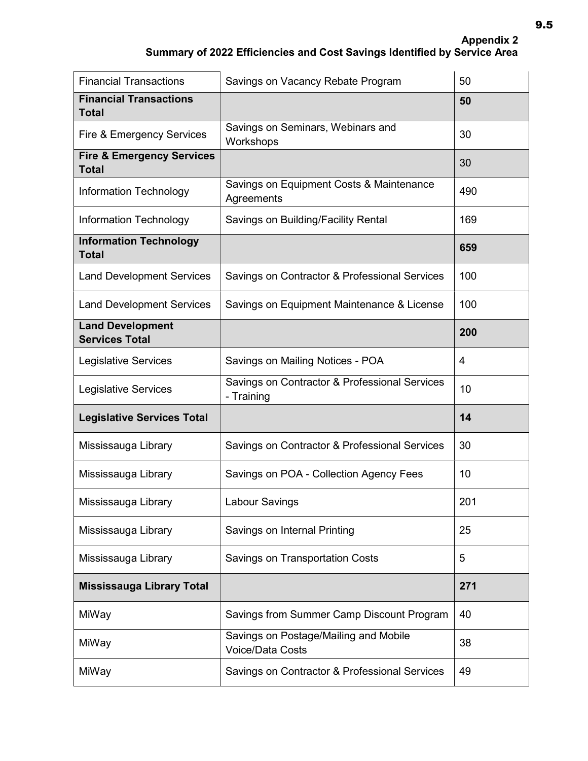| <b>Financial Transactions</b>                        | Savings on Vacancy Rebate Program                           | 50  |
|------------------------------------------------------|-------------------------------------------------------------|-----|
| <b>Financial Transactions</b><br><b>Total</b>        |                                                             | 50  |
| Fire & Emergency Services                            | Savings on Seminars, Webinars and<br>Workshops              | 30  |
| <b>Fire &amp; Emergency Services</b><br><b>Total</b> |                                                             | 30  |
| <b>Information Technology</b>                        | Savings on Equipment Costs & Maintenance<br>Agreements      | 490 |
| Information Technology                               | Savings on Building/Facility Rental                         | 169 |
| <b>Information Technology</b><br><b>Total</b>        |                                                             | 659 |
| <b>Land Development Services</b>                     | Savings on Contractor & Professional Services               | 100 |
| <b>Land Development Services</b>                     | Savings on Equipment Maintenance & License                  | 100 |
| <b>Land Development</b><br><b>Services Total</b>     |                                                             | 200 |
| <b>Legislative Services</b>                          | Savings on Mailing Notices - POA                            | 4   |
| <b>Legislative Services</b>                          | Savings on Contractor & Professional Services<br>- Training | 10  |
| <b>Legislative Services Total</b>                    |                                                             | 14  |
| Mississauga Library                                  | Savings on Contractor & Professional Services               | 30  |
| Mississauga Library                                  | Savings on POA - Collection Agency Fees                     | 10  |
| Mississauga Library                                  | <b>Labour Savings</b>                                       | 201 |
| Mississauga Library                                  | Savings on Internal Printing                                | 25  |
| Mississauga Library                                  | Savings on Transportation Costs                             | 5   |
| <b>Mississauga Library Total</b>                     |                                                             | 271 |
| MiWay                                                | Savings from Summer Camp Discount Program                   | 40  |
| MiWay                                                | Savings on Postage/Mailing and Mobile<br>Voice/Data Costs   | 38  |
| MiWay                                                | Savings on Contractor & Professional Services               | 49  |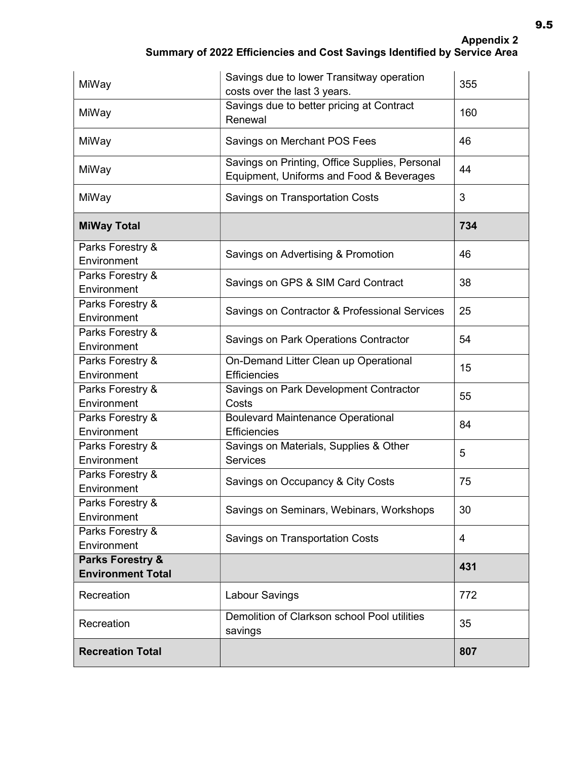| MiWay                                                   | Savings due to lower Transitway operation<br>costs over the last 3 years.                  | 355 |
|---------------------------------------------------------|--------------------------------------------------------------------------------------------|-----|
| MiWay                                                   | Savings due to better pricing at Contract<br>Renewal                                       | 160 |
| MiWay                                                   | Savings on Merchant POS Fees                                                               | 46  |
| MiWay                                                   | Savings on Printing, Office Supplies, Personal<br>Equipment, Uniforms and Food & Beverages | 44  |
| MiWay                                                   | Savings on Transportation Costs                                                            | 3   |
| <b>MiWay Total</b>                                      |                                                                                            | 734 |
| Parks Forestry &<br>Environment                         | Savings on Advertising & Promotion                                                         | 46  |
| Parks Forestry &<br>Environment                         | Savings on GPS & SIM Card Contract                                                         | 38  |
| Parks Forestry &<br>Environment                         | Savings on Contractor & Professional Services                                              | 25  |
| Parks Forestry &<br>Environment                         | <b>Savings on Park Operations Contractor</b>                                               | 54  |
| Parks Forestry &<br>Environment                         | On-Demand Litter Clean up Operational<br><b>Efficiencies</b>                               | 15  |
| Parks Forestry &<br>Environment                         | Savings on Park Development Contractor<br>Costs                                            | 55  |
| Parks Forestry &<br>Environment                         | <b>Boulevard Maintenance Operational</b><br><b>Efficiencies</b>                            | 84  |
| Parks Forestry &<br>Environment                         | Savings on Materials, Supplies & Other<br><b>Services</b>                                  | 5   |
| Parks Forestry &<br>Environment                         | Savings on Occupancy & City Costs                                                          | 75  |
| Parks Forestry &<br>Environment                         | Savings on Seminars, Webinars, Workshops                                                   | 30  |
| Parks Forestry &<br>Environment                         | Savings on Transportation Costs                                                            | 4   |
| <b>Parks Forestry &amp;</b><br><b>Environment Total</b> |                                                                                            | 431 |
| Recreation                                              | Labour Savings                                                                             | 772 |
| Recreation                                              | Demolition of Clarkson school Pool utilities<br>savings                                    | 35  |
| <b>Recreation Total</b>                                 |                                                                                            | 807 |